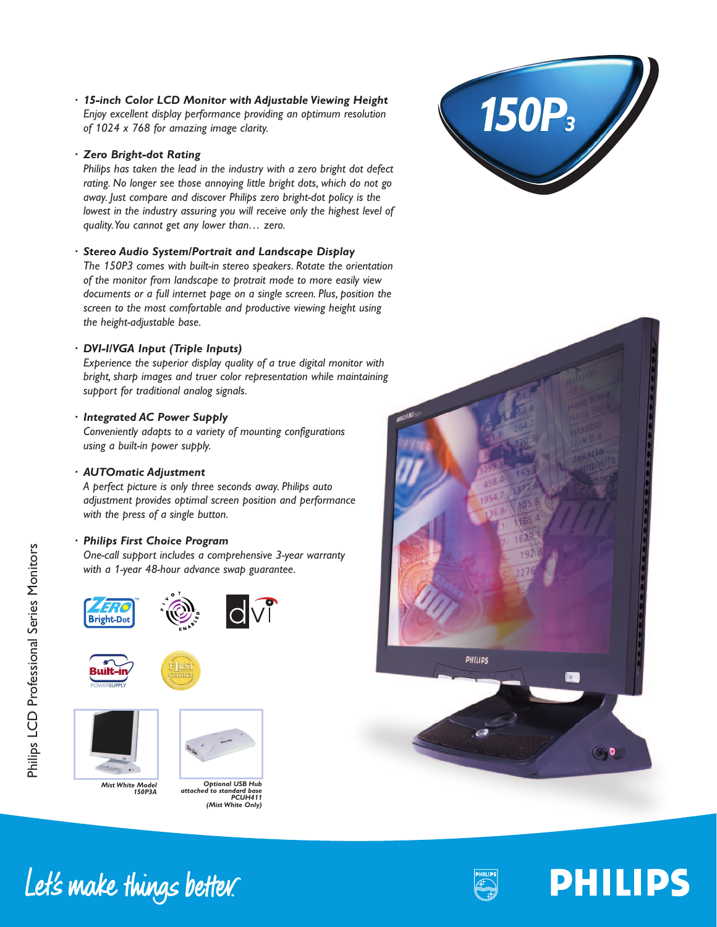*· 15-inch Color LCD Monitor with Adjustable Viewing Height Enjoy excellent display performance providing an optimum resolution of 1024 x 768 for amazing image clarity.*

### *· Zero Bright-dot Rating*

*Philips has taken the lead in the industry with a zero bright dot defect rating. No longer see those annoying little bright dots, which do not go away. Just compare and discover Philips zero bright-dot policy is the lowest in the industry assuring you will receive only the highest level of quality.You cannot get any lower than… zero.*

### *· Stereo Audio System/Portrait and Landscape Display*

*The 150P3 comes with built-in stereo speakers. Rotate the orientation of the monitor from landscape to protrait mode to more easily view documents or a full internet page on a single screen. Plus, position the screen to the most comfortable and productive viewing height using the height-adjustable base.*

### *· DVI-I/VGA Input (Triple Inputs)*

*Experience the superior display quality of a true digital monitor with bright, sharp images and truer color representation while maintaining support for traditional analog signals.*

### *· Integrated AC Power Supply*

*Conveniently adapts to a variety of mounting configurations using a built-in power supply.*

### *· AUTOmatic Adjustment*

*A perfect picture is only three seconds away. Philips auto adjustment provides optimal screen position and performance with the press of a single button.*

### *· Philips First Choice Program*

*One-call support includes a comprehensive 3-year warranty with a 1-year 48-hour advance swap guarantee.*